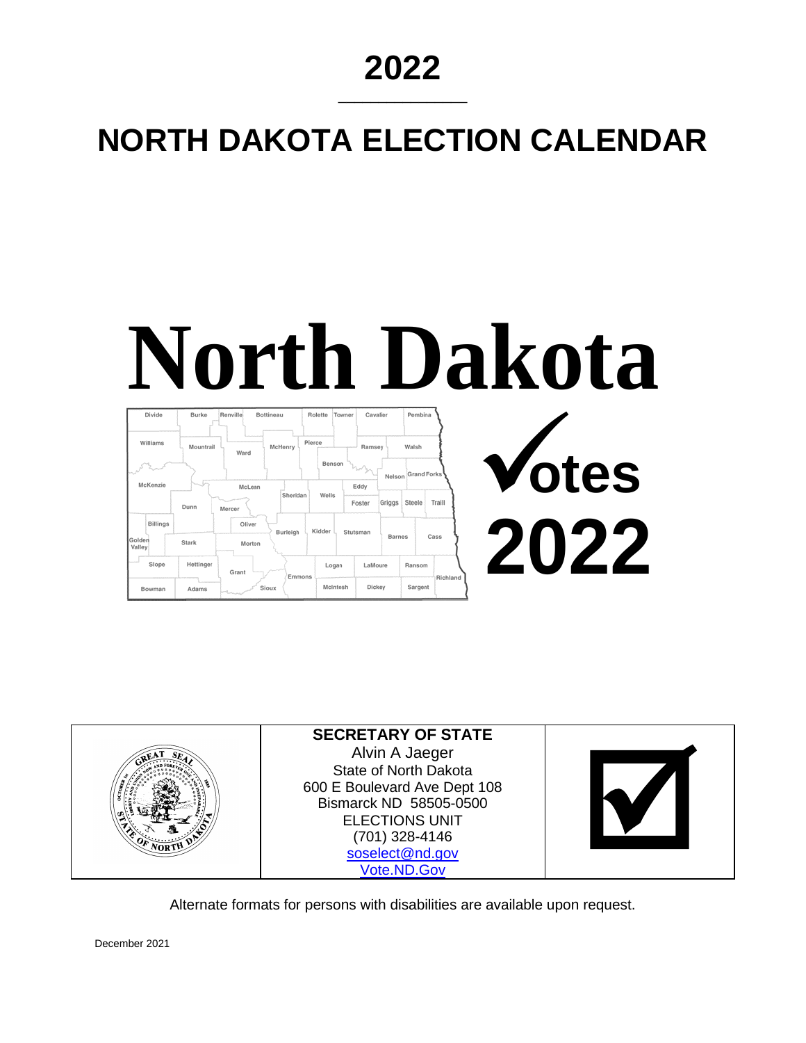## **2022**

\_\_\_\_\_\_\_\_\_\_\_\_\_\_\_\_

# **NORTH DAKOTA ELECTION CALENDAR**

# **North Dakota**

| Divide           | Burke     | Renville<br>Bottineau | Rolette  | Towner   | Cavalier                 | Pembina            |          |       |
|------------------|-----------|-----------------------|----------|----------|--------------------------|--------------------|----------|-------|
| Williams         | Mountrail | McHenry<br>Ward       | Pierce   |          | Ramsey                   | Walsh              |          |       |
|                  |           |                       |          | Benson   | hrha<br>Nelson           | <b>Grand Forks</b> |          | Votes |
| McKenzie         |           | McLean                | Sheridan | Wells    | Eddy<br>Griggs<br>Foster | Steele             | Traill   |       |
| <b>Billings</b>  | Dunn      | Mercer<br>Oliver      |          |          |                          |                    |          |       |
| Golden<br>Valley | Stark     | Morton                | Burleigh | Kidder   | Stutsman<br>Barnes       |                    | Cass     | 2022  |
| Slope            | Hettinger | Grant                 |          | Logan    | LaMoure                  | Ransom             |          |       |
| Bowman           | Adams     | Sloux<br>Torrison and | Emmons   | McIntosh | Dickey                   | Sargent            | Richland |       |



Alternate formats for persons with disabilities are available upon request.

December 2021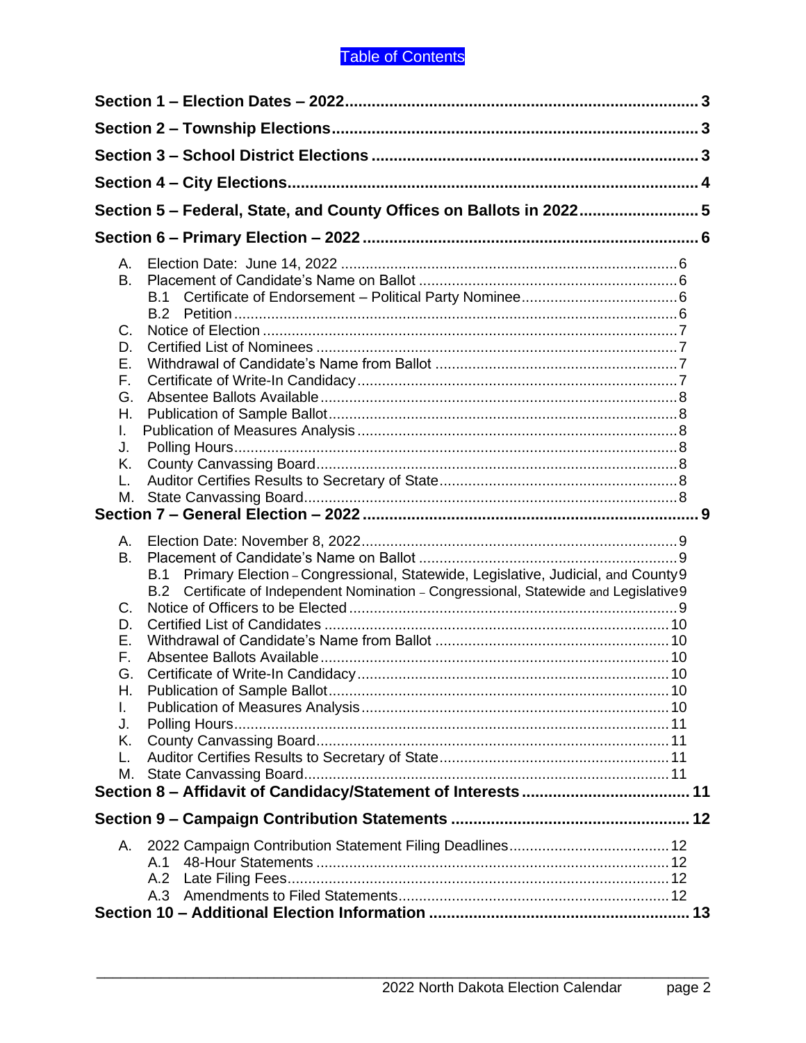## Table of Contents

|          | Section 5 - Federal, State, and County Offices on Ballots in 2022 5                     |  |  |  |  |
|----------|-----------------------------------------------------------------------------------------|--|--|--|--|
|          |                                                                                         |  |  |  |  |
|          |                                                                                         |  |  |  |  |
| Α.<br>B. |                                                                                         |  |  |  |  |
|          | <b>B.1</b>                                                                              |  |  |  |  |
|          |                                                                                         |  |  |  |  |
| C.       |                                                                                         |  |  |  |  |
| D.       |                                                                                         |  |  |  |  |
| Ε.       |                                                                                         |  |  |  |  |
| F.       |                                                                                         |  |  |  |  |
| G.       |                                                                                         |  |  |  |  |
| Η.<br>I. |                                                                                         |  |  |  |  |
| J.       |                                                                                         |  |  |  |  |
| Κ.       |                                                                                         |  |  |  |  |
| L.       |                                                                                         |  |  |  |  |
| М.       |                                                                                         |  |  |  |  |
|          |                                                                                         |  |  |  |  |
| А.       |                                                                                         |  |  |  |  |
| B.       |                                                                                         |  |  |  |  |
|          | Primary Election - Congressional, Statewide, Legislative, Judicial, and County 9<br>B.1 |  |  |  |  |
|          | B.2 Certificate of Independent Nomination - Congressional, Statewide and Legislative9   |  |  |  |  |
| C.       |                                                                                         |  |  |  |  |
| D.       |                                                                                         |  |  |  |  |
| Ε.       |                                                                                         |  |  |  |  |
| F.       |                                                                                         |  |  |  |  |
| G.       |                                                                                         |  |  |  |  |
| Н.       |                                                                                         |  |  |  |  |
| L.<br>J. |                                                                                         |  |  |  |  |
| Κ.       |                                                                                         |  |  |  |  |
| L.       |                                                                                         |  |  |  |  |
| М.       |                                                                                         |  |  |  |  |
|          |                                                                                         |  |  |  |  |
|          |                                                                                         |  |  |  |  |
| А.       |                                                                                         |  |  |  |  |
|          | A.1                                                                                     |  |  |  |  |
|          | A.2                                                                                     |  |  |  |  |
|          | A.3                                                                                     |  |  |  |  |
|          |                                                                                         |  |  |  |  |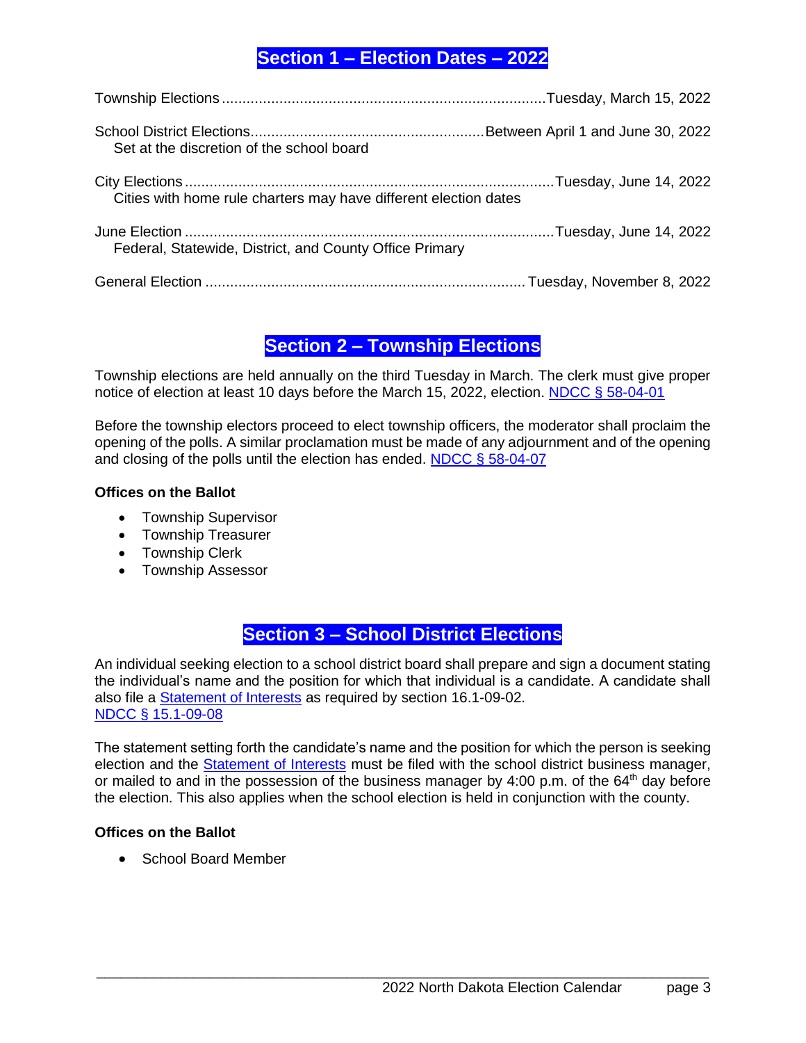## <span id="page-2-0"></span>**Section 1 – Election Dates – 2022**

| Set at the discretion of the school board                        |  |
|------------------------------------------------------------------|--|
| Cities with home rule charters may have different election dates |  |
| Federal, Statewide, District, and County Office Primary          |  |
|                                                                  |  |

## **Section 2 – Township Elections**

<span id="page-2-1"></span>Township elections are held annually on the third Tuesday in March. The clerk must give proper notice of election at least 10 days before the March 15, 2022, election. [NDCC § 58-04-01](http://www.legis.nd.gov/cencode/t58c04.pdf)

Before the township electors proceed to elect township officers, the moderator shall proclaim the opening of the polls. A similar proclamation must be made of any adjournment and of the opening and closing of the polls until the election has ended. [NDCC § 58-04-07](http://www.legis.nd.gov/cencode/t58c04.pdf#nameddest=58-04-07)

## **Offices on the Ballot**

- Township Supervisor
- Township Treasurer
- Township Clerk
- Township Assessor

## **Section 3 – School District Elections**

<span id="page-2-2"></span>An individual seeking election to a school district board shall prepare and sign a document stating the individual's name and the position for which that individual is a candidate. A candidate shall also file a [Statement of Interests](http://www.nd.gov/eforms/Doc/sfn10172.pdf) as required by section 16.1-09-02. [NDCC § 15.1-09-08](http://www.legis.nd.gov/cencode/t15-1c09.pdf#nameddest=15p1-09-08)

The statement setting forth the candidate's name and the position for which the person is seeking election and the [Statement of Interests](http://www.nd.gov/eforms/Doc/sfn10172.pdf) must be filed with the school district business manager, or mailed to and in the possession of the business manager by 4:00 p.m. of the  $64<sup>th</sup>$  day before the election. This also applies when the school election is held in conjunction with the county.

## **Offices on the Ballot**

• School Board Member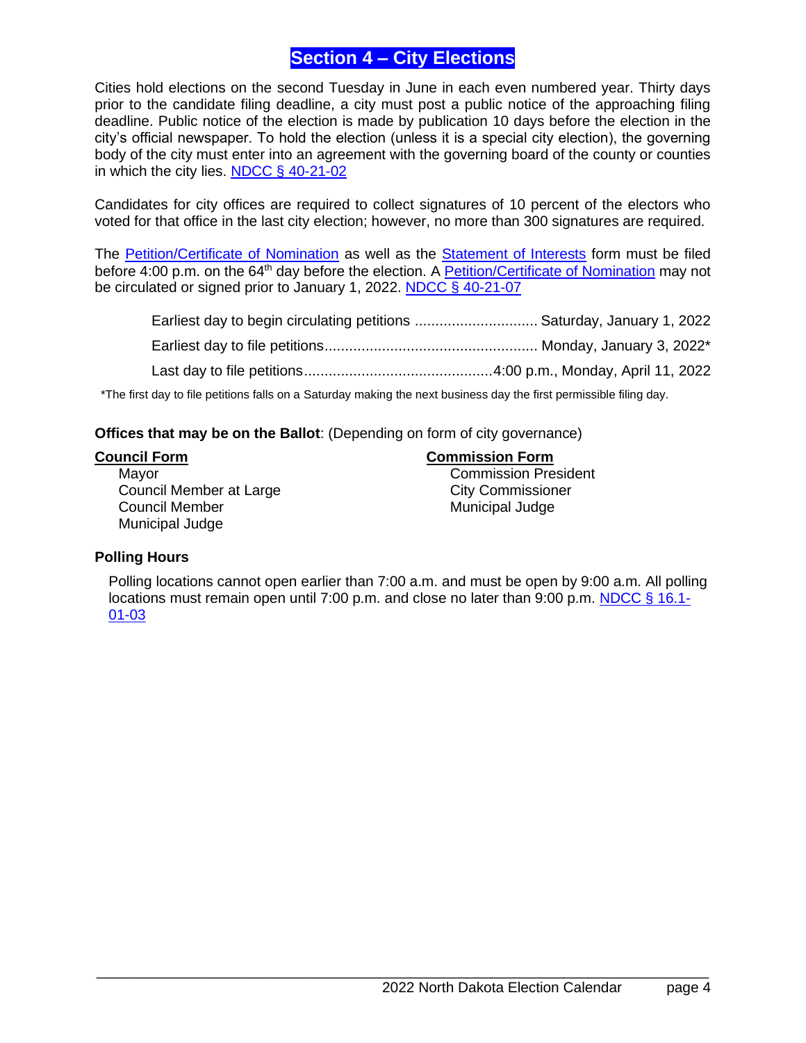## **Section 4 – City Elections**

<span id="page-3-0"></span>Cities hold elections on the second Tuesday in June in each even numbered year. Thirty days prior to the candidate filing deadline, a city must post a public notice of the approaching filing deadline. Public notice of the election is made by publication 10 days before the election in the city's official newspaper. To hold the election (unless it is a special city election), the governing body of the city must enter into an agreement with the governing board of the county or counties in which the city lies. [NDCC § 40-21-02](http://www.legis.nd.gov/cencode/t40c21.pdf#nameddest=40-21-02)

Candidates for city offices are required to collect signatures of 10 percent of the electors who voted for that office in the last city election; however, no more than 300 signatures are required.

The [Petition/Certificate of Nomination](http://www.nd.gov/eforms/Doc/sfn02704.pdf) as well as the [Statement of Interests](http://www.nd.gov/eforms/Doc/sfn10172.pdf) form must be filed before 4:00 p.m. on the 64<sup>th</sup> day before the election. A **Petition/Certificate of Nomination** may not be circulated or signed prior to January 1, 2022. [NDCC § 40-21-07](http://www.legis.nd.gov/cencode/t40c21.pdf#nameddest=40-21-07)

| *The first day to file petitions falls on a Saturday making the next business day the first permissible filing day. |  |
|---------------------------------------------------------------------------------------------------------------------|--|

**Offices that may be on the Ballot**: (Depending on form of city governance)

**Council Form Commission Form**

Mayor **Commission President** Council Member at Large Council Member at Large Council Member **Municipal Judge** Municipal Judge Municipal Judge

## **Polling Hours**

Polling locations cannot open earlier than 7:00 a.m. and must be open by 9:00 a.m. All polling locations must remain open until 7:00 p.m. and close no later than 9:00 p.m. [NDCC § 16.1-](http://www.legis.nd.gov/cencode/t16-1c01.pdf#nameddest=16p1-01-03) [01-03](http://www.legis.nd.gov/cencode/t16-1c01.pdf#nameddest=16p1-01-03)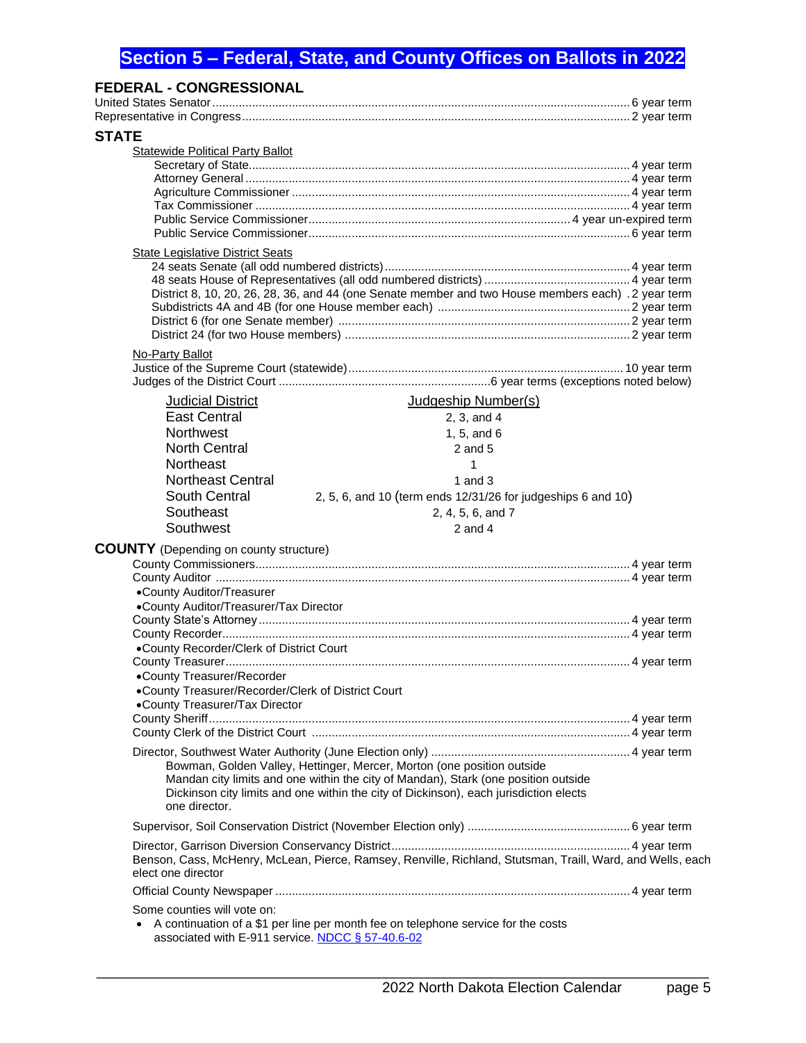## <span id="page-4-0"></span>**Section 5 – Federal, State, and County Offices on Ballots in 2022**

| <b>FEDERAL - CONGRESSIONAL</b>                     |                                                                                                            |  |
|----------------------------------------------------|------------------------------------------------------------------------------------------------------------|--|
|                                                    |                                                                                                            |  |
|                                                    |                                                                                                            |  |
| <b>STATE</b>                                       |                                                                                                            |  |
| <b>Statewide Political Party Ballot</b>            |                                                                                                            |  |
|                                                    |                                                                                                            |  |
|                                                    |                                                                                                            |  |
|                                                    |                                                                                                            |  |
|                                                    |                                                                                                            |  |
|                                                    |                                                                                                            |  |
|                                                    |                                                                                                            |  |
| State Legislative District Seats                   |                                                                                                            |  |
|                                                    |                                                                                                            |  |
|                                                    |                                                                                                            |  |
|                                                    | District 8, 10, 20, 26, 28, 36, and 44 (one Senate member and two House members each) . 2 year term        |  |
|                                                    |                                                                                                            |  |
|                                                    |                                                                                                            |  |
|                                                    |                                                                                                            |  |
| No-Party Ballot                                    |                                                                                                            |  |
|                                                    |                                                                                                            |  |
|                                                    |                                                                                                            |  |
| <b>Judicial District</b>                           | Judgeship Number(s)                                                                                        |  |
| <b>East Central</b>                                | 2, 3, and 4                                                                                                |  |
| <b>Northwest</b>                                   | 1, 5, and $6$                                                                                              |  |
| <b>North Central</b>                               | $2$ and $5$                                                                                                |  |
| Northeast                                          | 1                                                                                                          |  |
| <b>Northeast Central</b>                           |                                                                                                            |  |
|                                                    | 1 and $3$                                                                                                  |  |
| South Central                                      | 2, 5, 6, and 10 (term ends 12/31/26 for judgeships 6 and 10)                                               |  |
| Southeast                                          | 2, 4, 5, 6, and 7                                                                                          |  |
| Southwest                                          | 2 and $4$                                                                                                  |  |
| <b>COUNTY</b> (Depending on county structure)      |                                                                                                            |  |
|                                                    |                                                                                                            |  |
|                                                    |                                                                                                            |  |
| •County Auditor/Treasurer                          |                                                                                                            |  |
| •County Auditor/Treasurer/Tax Director             |                                                                                                            |  |
|                                                    |                                                                                                            |  |
|                                                    |                                                                                                            |  |
| •County Recorder/Clerk of District Court           |                                                                                                            |  |
|                                                    |                                                                                                            |  |
| •County Treasurer/Recorder                         |                                                                                                            |  |
| .County Treasurer/Recorder/Clerk of District Court |                                                                                                            |  |
| •County Treasurer/Tax Director                     |                                                                                                            |  |
|                                                    |                                                                                                            |  |
|                                                    |                                                                                                            |  |
|                                                    |                                                                                                            |  |
|                                                    | Bowman, Golden Valley, Hettinger, Mercer, Morton (one position outside                                     |  |
|                                                    | Mandan city limits and one within the city of Mandan), Stark (one position outside                         |  |
|                                                    | Dickinson city limits and one within the city of Dickinson), each jurisdiction elects                      |  |
| one director.                                      |                                                                                                            |  |
|                                                    |                                                                                                            |  |
|                                                    |                                                                                                            |  |
|                                                    | Benson, Cass, McHenry, McLean, Pierce, Ramsey, Renville, Richland, Stutsman, Traill, Ward, and Wells, each |  |
| elect one director                                 |                                                                                                            |  |
|                                                    |                                                                                                            |  |
|                                                    |                                                                                                            |  |
| Some counties will vote on:                        |                                                                                                            |  |
| associated with E-911 service. NDCC § 57-40.6-02   | A continuation of a \$1 per line per month fee on telephone service for the costs                          |  |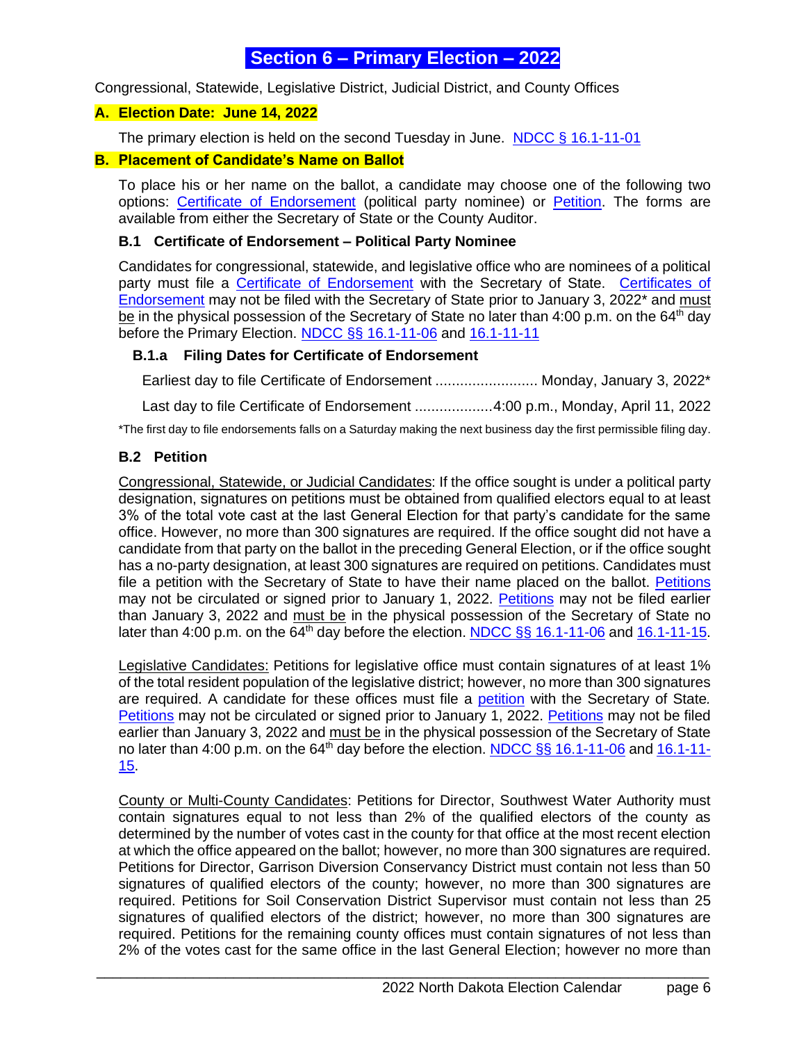## <span id="page-5-0"></span>**Section 6 – Primary Election – 2022**

Congressional, Statewide, Legislative District, Judicial District, and County Offices

## <span id="page-5-1"></span>**A. Election Date: June 14, 2022**

The primary election is held on the second Tuesday in June. [NDCC § 16.1-11-01](http://www.legis.nd.gov/cencode/t16-1c11.pdf)

## <span id="page-5-2"></span>**B. Placement of Candidate's Name on Ballot**

To place his or her name on the ballot, a candidate may choose one of the following two options: [Certificate of Endorsement](http://www.nd.gov/eforms/Doc/sfn17196.pdf) (political party nominee) or [Petition.](http://www.nd.gov/eforms/Doc/sfn02704.pdf) The forms are available from either the Secretary of State or the County Auditor.

## <span id="page-5-3"></span>**B.1 Certificate of Endorsement – Political Party Nominee**

Candidates for congressional, statewide, and legislative office who are nominees of a political party must file a [Certificate of Endorsement](http://www.nd.gov/eforms/Doc/sfn17196.pdf) with the Secretary of State. [Certificates of](http://www.nd.gov/eforms/Doc/sfn17196.pdf)  [Endorsement](http://www.nd.gov/eforms/Doc/sfn17196.pdf) may not be filed with the Secretary of State prior to January 3, 2022\* and must be in the physical possession of the Secretary of State no later than 4:00 p.m. on the 64<sup>th</sup> day before the Primary Election. NDCC §§ [16.1-11-06](http://www.legis.nd.gov/cencode/t16-1c11.pdf#nameddest=16p1-11-06) and [16.1-11-11](http://www.legis.nd.gov/cencode/t16-1c11.pdf#nameddest=16p1-11-11)

## **B.1.a Filing Dates for Certificate of Endorsement**

Earliest day to file Certificate of Endorsement ......................... Monday, January 3, 2022\* Last day to file Certificate of Endorsement ...................4:00 p.m., Monday, April 11, 2022

\*The first day to file endorsements falls on a Saturday making the next business day the first permissible filing day.

## <span id="page-5-4"></span>**B.2 Petition**

Congressional, Statewide, or Judicial Candidates: If the office sought is under a political party designation, signatures on petitions must be obtained from qualified electors equal to at least 3% of the total vote cast at the last General Election for that party's candidate for the same office. However, no more than 300 signatures are required. If the office sought did not have a candidate from that party on the ballot in the preceding General Election, or if the office sought has a no-party designation, at least 300 signatures are required on petitions. Candidates must file a [petition](http://www.state.nd.us/eforms/Doc/sfn02704.pdf) with the Secretary of State to have their name placed on the ballot. [Petitions](http://www.nd.gov/eforms/Doc/sfn02704.pdf) may not be circulated or signed prior to January 1, 2022. [Petitions](http://www.nd.gov/eforms/Doc/sfn02704.pdf) may not be filed earlier than January 3, 2022 and must be in the physical possession of the Secretary of State no later than 4:00 p.m. on the 64<sup>th</sup> day before the election. NDCC §§ [16.1-11-06](http://www.legis.nd.gov/cencode/t16-1c11.pdf#nameddest=16p1-11-06) and  $16.1-11-15$ .

Legislative Candidates: Petitions for legislative office must contain signatures of at least 1% of the total resident population of the legislative district; however, no more than 300 signatures are required. A candidate for these offices must file a [petition](http://www.nd.gov/eforms/Doc/sfn02704.pdf) with the Secretary of State*.* [Petitions](http://www.nd.gov/eforms/Doc/sfn02704.pdf) may not be circulated or signed prior to January 1, 2022. [Petitions](http://www.nd.gov/eforms/Doc/sfn02704.pdf) may not be filed earlier than January 3, 2022 and must be in the physical possession of the Secretary of State no later than 4:00 p.m. on the 64<sup>th</sup> day before the election. NDCC §§ [16.1-11-06](http://www.legis.nd.gov/cencode/t16-1c11.pdf#nameddest=16p1-11-06) and [16.1-11-](http://www.legis.nd.gov/cencode/t16-1c11.pdf#nameddest=16p1-11-15) [15.](http://www.legis.nd.gov/cencode/t16-1c11.pdf#nameddest=16p1-11-15)

County or Multi-County Candidates: Petitions for Director, Southwest Water Authority must contain signatures equal to not less than 2% of the qualified electors of the county as determined by the number of votes cast in the county for that office at the most recent election at which the office appeared on the ballot; however, no more than 300 signatures are required. Petitions for Director, Garrison Diversion Conservancy District must contain not less than 50 signatures of qualified electors of the county; however, no more than 300 signatures are required. Petitions for Soil Conservation District Supervisor must contain not less than 25 signatures of qualified electors of the district; however, no more than 300 signatures are required. Petitions for the remaining county offices must contain signatures of not less than 2% of the votes cast for the same office in the last General Election; however no more than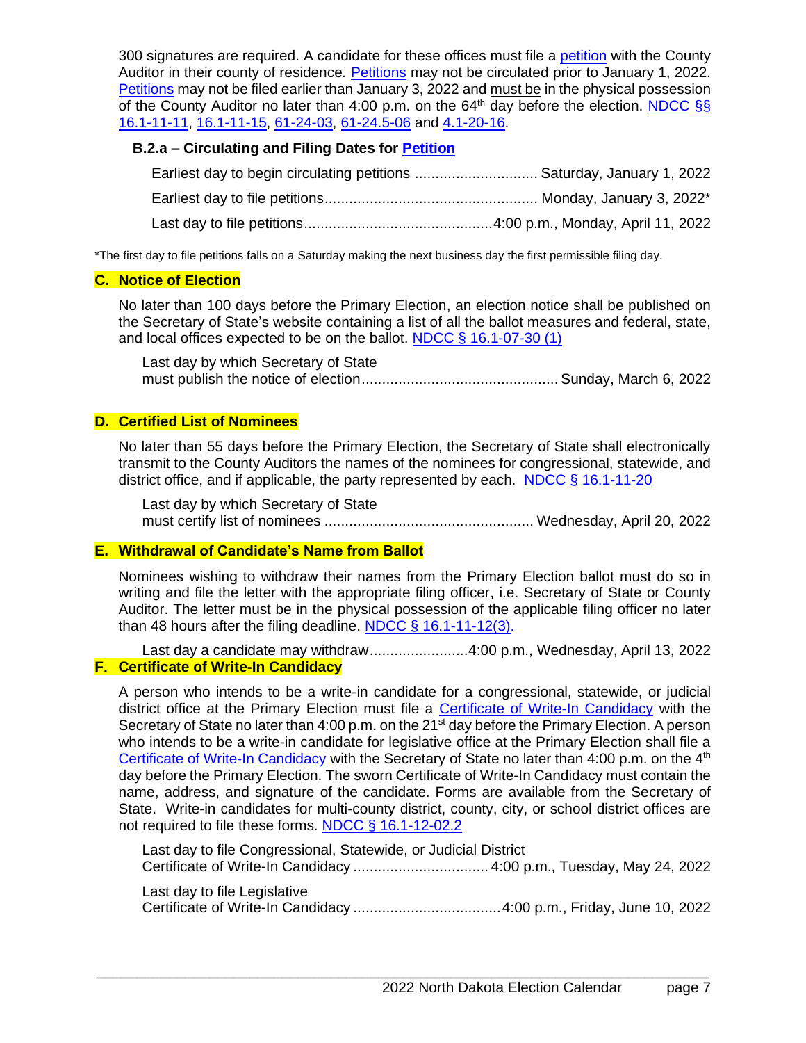300 signatures are required. A candidate for these offices must file a [petition](http://www.nd.gov/eforms/Doc/sfn02704.pdf) with the County Auditor in their county of residence*.* [Petitions](http://www.nd.gov/eforms/Doc/sfn02704.pdf) may not be circulated prior to January 1, 2022. [Petitions](http://www.nd.gov/eforms/Doc/sfn02704.pdf) may not be filed earlier than January 3, 2022 and must be in the physical possession of the County Auditor no later than 4:00 p.m. on the 64<sup>th</sup> day before the election. [NDCC §§](http://www.legis.nd.gov/cencode/t16-1c11.pdf#nameddest=16p1-11-11) [16.1-11-11,](http://www.legis.nd.gov/cencode/t16-1c11.pdf#nameddest=16p1-11-11) [16.1-11-15,](http://www.legis.nd.gov/cencode/t16-1c11.pdf#nameddest=16p1-11-15) [61-24-03,](http://www.legis.nd.gov/cencode/t61c24.pdf#nameddest=61-24-03) [61-24.5-06](http://www.legis.nd.gov/cencode/t61c24-5.pdf#nameddest=61-24p5-06) and [4.1-20-16.](http://www.legis.nd.gov/cencode/t04-1c20.pdf#nameddest=4p1-20-16)

## **B.2.a – Circulating and Filing Dates for [Petition](http://www.nd.gov/eforms/Doc/sfn02704.pdf)**

| Earliest day to begin circulating petitions  Saturday, January 1, 2022 |  |
|------------------------------------------------------------------------|--|
|                                                                        |  |
|                                                                        |  |

\*The first day to file petitions falls on a Saturday making the next business day the first permissible filing day.

## <span id="page-6-0"></span>**C. Notice of Election**

No later than 100 days before the Primary Election, an election notice shall be published on the Secretary of State's website containing a list of all the ballot measures and federal, state, and local offices expected to be on the ballot. NDCC  $\S$  16.1-07-30 (1)

Last day by which Secretary of State must publish the notice of election................................................ Sunday, March 6, 2022

## <span id="page-6-1"></span>**D. Certified List of Nominees**

No later than 55 days before the Primary Election, the Secretary of State shall electronically transmit to the County Auditors the names of the nominees for congressional, statewide, and district office, and if applicable, the party represented by each. [NDCC § 16.1-11-20](http://www.legis.nd.gov/cencode/t16-1c11.pdf#nameddest=16p1-11-20)

Last day by which Secretary of State must certify list of nominees ................................................... Wednesday, April 20, 2022

## <span id="page-6-2"></span>**E. Withdrawal of Candidate's Name from Ballot**

Nominees wishing to withdraw their names from the Primary Election ballot must do so in writing and file the letter with the appropriate filing officer, i.e. Secretary of State or County Auditor. The letter must be in the physical possession of the applicable filing officer no later than 48 hours after the filing deadline. NDCC  $\frac{6}{16.1}$ -11-12(3).

<span id="page-6-3"></span>Last day a candidate may withdraw........................4:00 p.m., Wednesday, April 13, 2022 **F. Certificate of Write-In Candidacy**

A person who intends to be a write-in candidate for a congressional, statewide, or judicial district office at the Primary Election must file a [Certificate of Write-In Candidacy](http://www.nd.gov/eforms/Doc/sfn50599.pdf) with the Secretary of State no later than 4:00 p.m. on the 21<sup>st</sup> day before the Primary Election. A person who intends to be a write-in candidate for legislative office at the Primary Election shall file a [Certificate of Write-In Candidacy](http://www.nd.gov/eforms/Doc/sfn50599.pdf) with the Secretary of State no later than 4:00 p.m. on the 4<sup>th</sup> day before the Primary Election. The sworn Certificate of Write-In Candidacy must contain the name, address, and signature of the candidate. Forms are available from the Secretary of State. Write-in candidates for multi-county district, county, city, or school district offices are not required to file these forms. [NDCC § 16.1-12-02.2](http://www.legis.nd.gov/cencode/t16-1c12.pdf#nameddest=16p1-12-02p2)

Last day to file Congressional, Statewide, or Judicial District Certificate of Write-In Candidacy ................................. 4:00 p.m., Tuesday, May 24, 2022

Last day to file Legislative Certificate of Write-In Candidacy ....................................4:00 p.m., Friday, June 10, 2022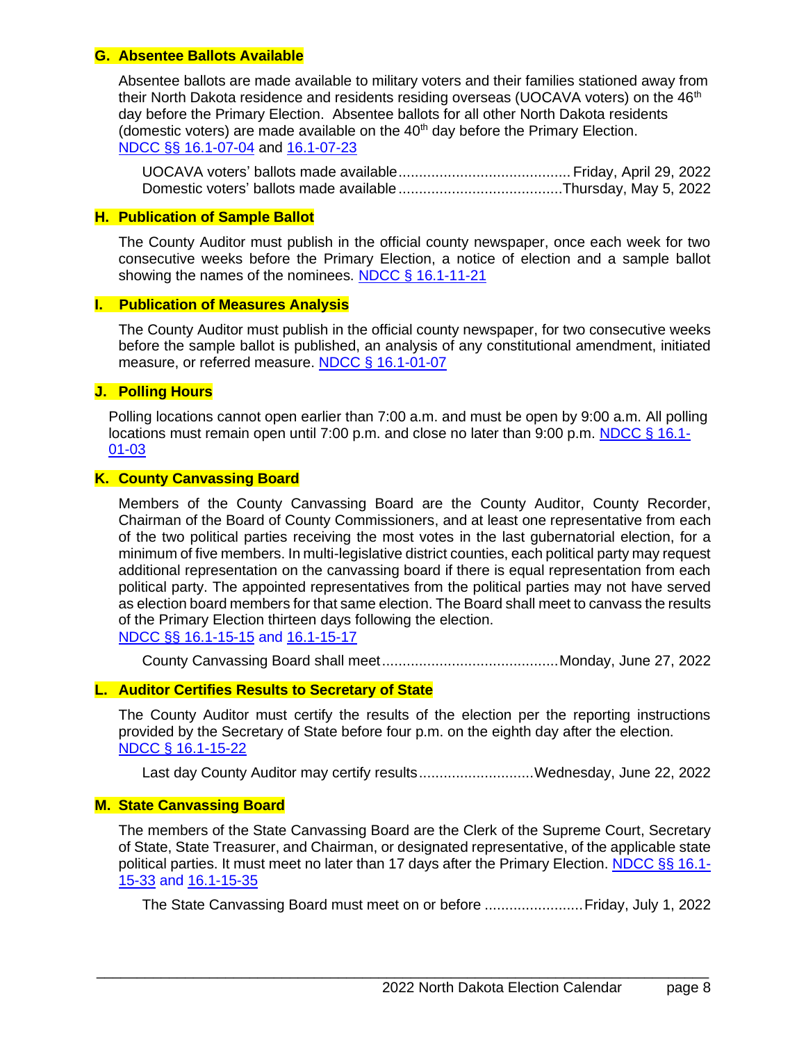#### <span id="page-7-0"></span>**G. Absentee Ballots Available**

Absentee ballots are made available to military voters and their families stationed away from their North Dakota residence and residents residing overseas (UOCAVA voters) on the  $46<sup>th</sup>$ day before the Primary Election. Absentee ballots for all other North Dakota residents (domestic voters) are made available on the  $40<sup>th</sup>$  day before the Primary Election. NDCC §§ [16.1-07-04](http://www.legis.nd.gov/cencode/t16-1c07.pdf#nameddest=16p1-07-04) and [16.1-07-23](http://www.legis.nd.gov/cencode/t16-1c07.pdf#nameddest=16p1-07-23)

UOCAVA voters' ballots made available.......................................... Friday, April 29, 2022 Domestic voters' ballots made available........................................Thursday, May 5, 2022

#### <span id="page-7-1"></span>**H. Publication of Sample Ballot**

The County Auditor must publish in the official county newspaper, once each week for two consecutive weeks before the Primary Election, a notice of election and a sample ballot showing the names of the nominees. [NDCC § 16.1-11-21](http://www.legis.nd.gov/cencode/t16-1c11.pdf#nameddest=16p1-11-21)

## <span id="page-7-2"></span>**I. Publication of Measures Analysis**

The County Auditor must publish in the official county newspaper, for two consecutive weeks before the sample ballot is published, an analysis of any constitutional amendment, initiated measure, or referred measure. [NDCC § 16.1-01-07](http://www.legis.nd.gov/cencode/t16-1c01.pdf#nameddest=16p1-01-07)

## <span id="page-7-3"></span>**J. Polling Hours**

Polling locations cannot open earlier than 7:00 a.m. and must be open by 9:00 a.m. All polling locations must remain open until 7:00 p.m. and close no later than 9:00 p.m. [NDCC § 16.1-](http://www.legis.nd.gov/cencode/t16-1c01.pdf#nameddest=16p1-01-03) [01-03](http://www.legis.nd.gov/cencode/t16-1c01.pdf#nameddest=16p1-01-03)

## <span id="page-7-4"></span>**K. County Canvassing Board**

Members of the County Canvassing Board are the County Auditor, County Recorder, Chairman of the Board of County Commissioners, and at least one representative from each of the two political parties receiving the most votes in the last gubernatorial election, for a minimum of five members. In multi-legislative district counties, each political party may request additional representation on the canvassing board if there is equal representation from each political party. The appointed representatives from the political parties may not have served as election board members for that same election. The Board shall meet to canvass the results of the Primary Election thirteen days following the election. [NDCC §§ 16.1-15-15](http://www.legis.nd.gov/cencode/t16-1c15.pdf#nameddest=16p1-15-15) and [16.1-15-17](http://www.legis.nd.gov/cencode/t16-1c15.pdf#nameddest=16p1-15-17)

County Canvassing Board shall meet...........................................Monday, June 27, 2022

## <span id="page-7-5"></span>**L. Auditor Certifies Results to Secretary of State**

The County Auditor must certify the results of the election per the reporting instructions provided by the Secretary of State before four p.m. on the eighth day after the election. [NDCC § 16.1-15-22](http://www.legis.nd.gov/cencode/t16-1c15.pdf#nameddest=16p1-15-22)

Last day County Auditor may certify results...........................Wednesday, June 22, 2022

#### <span id="page-7-6"></span>**M. State Canvassing Board**

The members of the State Canvassing Board are the Clerk of the Supreme Court, Secretary of State, State Treasurer, and Chairman, or designated representative, of the applicable state political parties. It must meet no later than 17 days after the Primary Election. [NDCC §§ 16.1-](http://www.legis.nd.gov/cencode/t16-1c15.pdf#nameddest=16p1-15-33) [15-33](http://www.legis.nd.gov/cencode/t16-1c15.pdf#nameddest=16p1-15-33) and [16.1-15-35](http://www.legis.nd.gov/cencode/t16-1c15.pdf#nameddest=16p1-15-35)

\_\_\_\_\_\_\_\_\_\_\_\_\_\_\_\_\_\_\_\_\_\_\_\_\_\_\_\_\_\_\_\_\_\_\_\_\_\_\_\_\_\_\_\_\_\_\_\_\_\_\_\_\_\_\_\_\_\_\_\_\_\_\_\_\_\_\_\_\_\_\_\_\_\_\_\_

The State Canvassing Board must meet on or before ........................Friday, July 1, 2022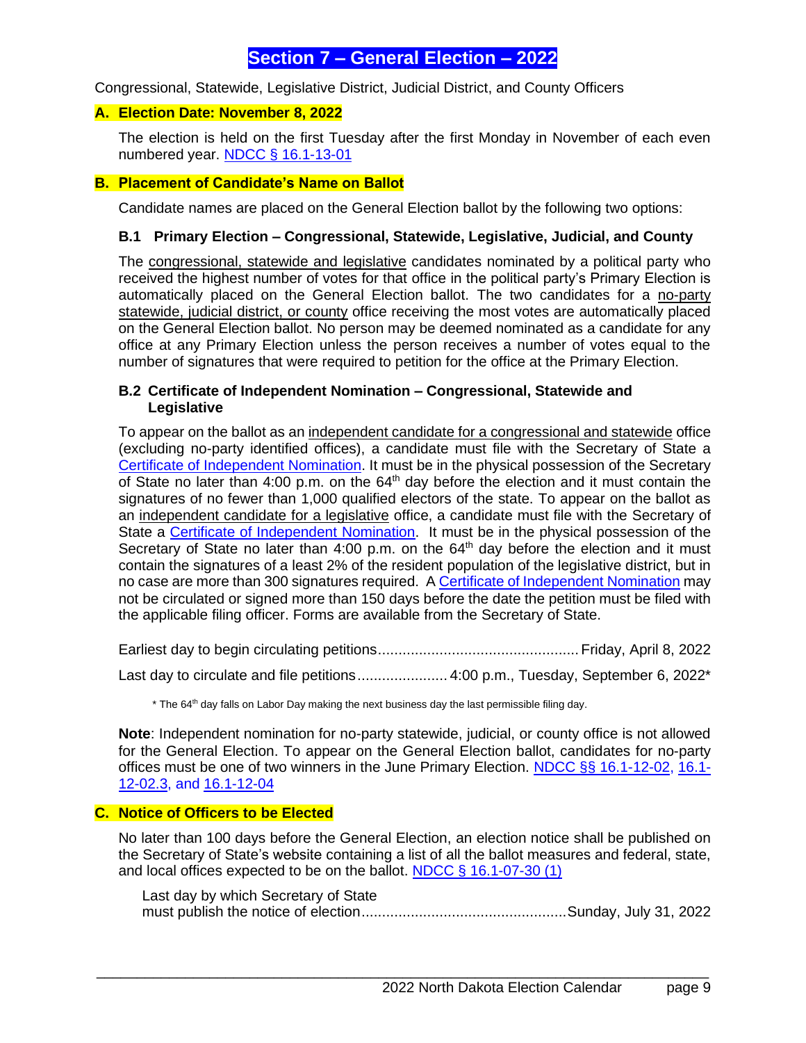## **Section 7 – General Election – 2022**

<span id="page-8-0"></span>Congressional, Statewide, Legislative District, Judicial District, and County Officers

## <span id="page-8-1"></span>**A. Election Date: November 8, 2022**

The election is held on the first Tuesday after the first Monday in November of each even numbered year. [NDCC § 16.1-13-01](http://www.legis.nd.gov/cencode/t16-1c13.pdf#nameddest=16p1-13-01)

#### <span id="page-8-2"></span>**B. Placement of Candidate's Name on Ballot**

Candidate names are placed on the General Election ballot by the following two options:

#### <span id="page-8-3"></span>**B.1 Primary Election – Congressional, Statewide, Legislative, Judicial, and County**

The congressional, statewide and legislative candidates nominated by a political party who received the highest number of votes for that office in the political party's Primary Election is automatically placed on the General Election ballot. The two candidates for a no-party statewide, judicial district, or county office receiving the most votes are automatically placed on the General Election ballot. No person may be deemed nominated as a candidate for any office at any Primary Election unless the person receives a number of votes equal to the number of signatures that were required to petition for the office at the Primary Election.

### <span id="page-8-4"></span>**B.2 Certificate of Independent Nomination – Congressional, Statewide and Legislative**

To appear on the ballot as an independent candidate for a congressional and statewide office (excluding no-party identified offices), a candidate must file with the Secretary of State a [Certificate of Independent Nomination.](http://www.nd.gov/eforms/Doc/sfn02704.pdf) It must be in the physical possession of the Secretary of State no later than 4:00 p.m. on the  $64<sup>th</sup>$  day before the election and it must contain the signatures of no fewer than 1,000 qualified electors of the state. To appear on the ballot as an independent candidate for a legislative office, a candidate must file with the Secretary of State a [Certificate of Independent Nomination.](http://www.nd.gov/eforms/Doc/sfn02704.pdf) It must be in the physical possession of the Secretary of State no later than 4:00 p.m. on the  $64<sup>th</sup>$  day before the election and it must contain the signatures of a least 2% of the resident population of the legislative district, but in no case are more than 300 signatures required. [A Certificate of Independent Nomination](http://www.nd.gov/eforms/Doc/sfn02704.pdf) may not be circulated or signed more than 150 days before the date the petition must be filed with the applicable filing officer. Forms are available from the Secretary of State.

Earliest day to begin circulating petitions................................................. Friday, April 8, 2022

Last day to circulate and file petitions....................... 4:00 p.m., Tuesday, September 6, 2022\*

\* The 64<sup>th</sup> day falls on Labor Day making the next business day the last permissible filing day.

**Note**: Independent nomination for no-party statewide, judicial, or county office is not allowed for the General Election. To appear on the General Election ballot, candidates for no-party offices must be one of two winners in the June Primary Election. [NDCC §§ 16.1-12-02,](http://www.legis.nd.gov/cencode/t16-1c12.pdf#nameddest=16p1-12-02) [16.1-](http://www.legis.nd.gov/cencode/t16-1c12.pdf#nameddest=16p1-12-02p3) [12-02.3,](http://www.legis.nd.gov/cencode/t16-1c12.pdf#nameddest=16p1-12-02p3) and [16.1-12-04](http://www.legis.nd.gov/cencode/t16-1c12.pdf#nameddest=16p1-12-04)

## <span id="page-8-5"></span>**C. Notice of Officers to be Elected**

No later than 100 days before the General Election, an election notice shall be published on the Secretary of State's website containing a list of all the ballot measures and federal, state, and local offices expected to be on the ballot. [NDCC § 16.1-07-30 \(1\)](http://www.legis.nd.gov/cencode/t16-1c07.pdf#nameddest=16p1-07-30)

\_\_\_\_\_\_\_\_\_\_\_\_\_\_\_\_\_\_\_\_\_\_\_\_\_\_\_\_\_\_\_\_\_\_\_\_\_\_\_\_\_\_\_\_\_\_\_\_\_\_\_\_\_\_\_\_\_\_\_\_\_\_\_\_\_\_\_\_\_\_\_\_\_\_\_\_

Last day by which Secretary of State must publish the notice of election..................................................Sunday, July 31, 2022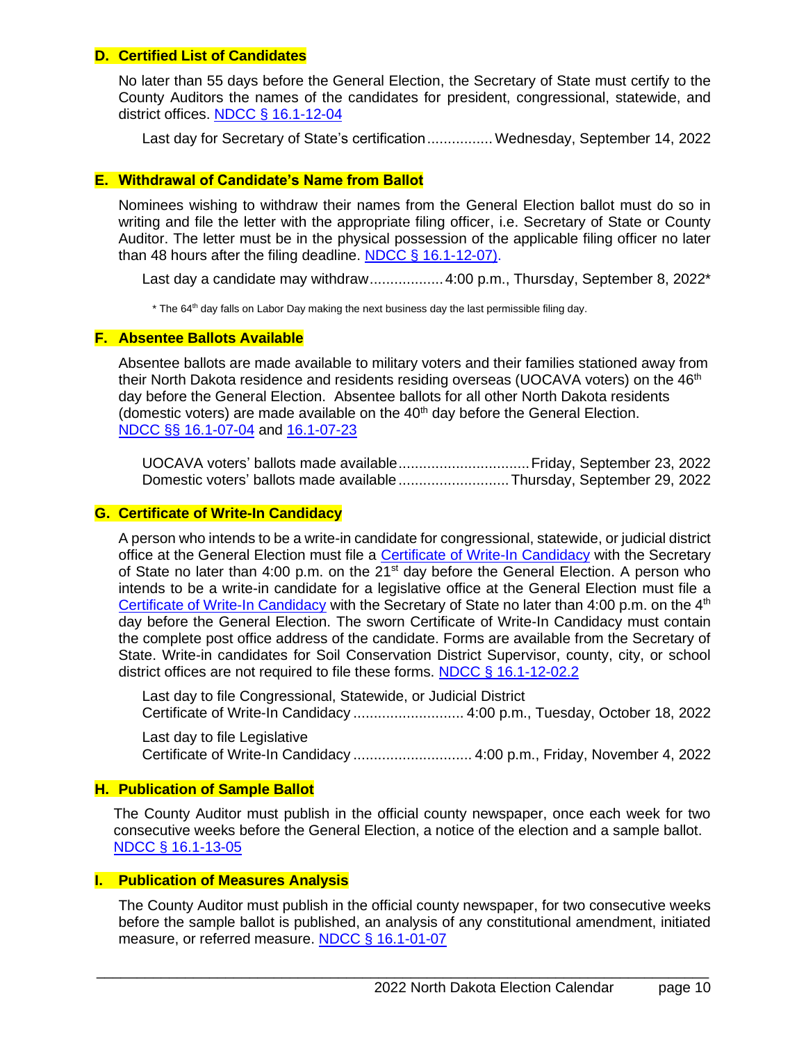#### <span id="page-9-0"></span>**D. Certified List of Candidates**

No later than 55 days before the General Election, the Secretary of State must certify to the County Auditors the names of the candidates for president, congressional, statewide, and district offices. [NDCC § 16.1-12-04](http://www.legis.nd.gov/cencode/t16-1c12.pdf#nameddest=16p1-12-04)

Last day for Secretary of State's certification................ Wednesday, September 14, 2022

## <span id="page-9-1"></span>**E. Withdrawal of Candidate's Name from Ballot**

Nominees wishing to withdraw their names from the General Election ballot must do so in writing and file the letter with the appropriate filing officer, i.e. Secretary of State or County Auditor. The letter must be in the physical possession of the applicable filing officer no later than 48 hours after the filing deadline. [NDCC § 16.1-12-07\).](https://www.legis.nd.gov/cencode/t16-1c11.pdf#nameddest=16p1-11-12)

Last day a candidate may withdraw..................4:00 p.m., Thursday, September 8, 2022\*

\* The 64<sup>th</sup> day falls on Labor Day making the next business day the last permissible filing day.

#### <span id="page-9-2"></span>**F. Absentee Ballots Available**

Absentee ballots are made available to military voters and their families stationed away from their North Dakota residence and residents residing overseas (UOCAVA voters) on the  $46<sup>th</sup>$ day before the General Election. Absentee ballots for all other North Dakota residents (domestic voters) are made available on the  $40<sup>th</sup>$  day before the General Election. NDCC §§ [16.1-07-04](http://www.legis.nd.gov/cencode/t16-1c07.pdf#nameddest=16p1-07-04) and [16.1-07-23](http://www.legis.nd.gov/cencode/t16-1c07.pdf#nameddest=16p1-07-23)

UOCAVA voters' ballots made available................................Friday, September 23, 2022 Domestic voters' ballots made available...........................Thursday, September 29, 2022

## <span id="page-9-3"></span>**G. Certificate of Write-In Candidacy**

A person who intends to be a write-in candidate for congressional, statewide, or judicial district office at the General Election must file a [Certificate of Write-In Candidacy](http://www.nd.gov/eforms/Doc/sfn50599.pdf) with the Secretary of State no later than 4:00 p.m. on the 21<sup>st</sup> day before the General Election. A person who intends to be a write-in candidate for a legislative office at the General Election must file a [Certificate of Write-In Candidacy](http://www.nd.gov/eforms/Doc/sfn50599.pdf) with the Secretary of State no later than 4:00 p.m. on the 4<sup>th</sup> day before the General Election. The sworn Certificate of Write-In Candidacy must contain the complete post office address of the candidate. Forms are available from the Secretary of State. Write-in candidates for Soil Conservation District Supervisor, county, city, or school district offices are not required to file these forms. [NDCC § 16.1-12-02.2](http://www.legis.nd.gov/cencode/t16-1c12.pdf#nameddest=16p1-12-02p2)

Last day to file Congressional, Statewide, or Judicial District Certificate of Write-In Candidacy ........................... 4:00 p.m., Tuesday, October 18, 2022

Last day to file Legislative Certificate of Write-In Candidacy ............................. 4:00 p.m., Friday, November 4, 2022

## <span id="page-9-4"></span>**H. Publication of Sample Ballot**

The County Auditor must publish in the official county newspaper, once each week for two consecutive weeks before the General Election, a notice of the election and a sample ballot. [NDCC § 16.1-13-05](http://www.legis.nd.gov/cencode/t16-1c13.pdf#nameddest=16p1-13-05)

## <span id="page-9-5"></span>**I. Publication of Measures Analysis**

The County Auditor must publish in the official county newspaper, for two consecutive weeks before the sample ballot is published, an analysis of any constitutional amendment, initiated measure, or referred measure. [NDCC § 16.1-01-07](http://www.legis.nd.gov/cencode/t16-1c01.pdf#nameddest=16p1-01-07)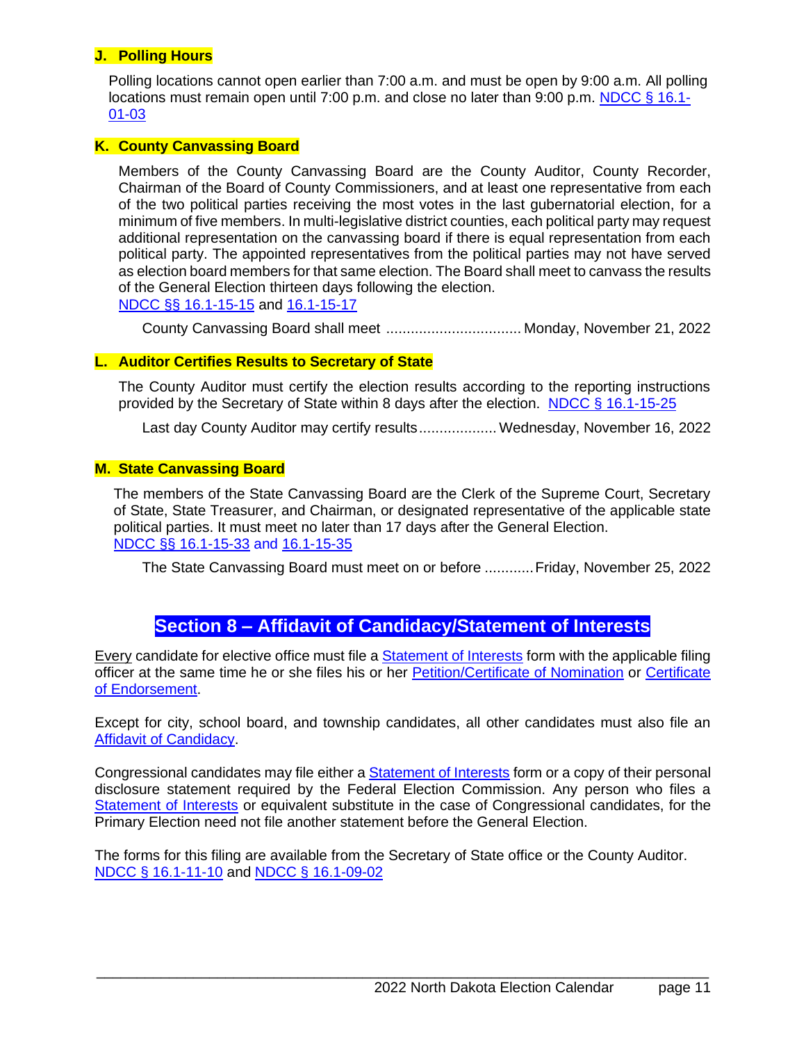## <span id="page-10-0"></span>**J. Polling Hours**

Polling locations cannot open earlier than 7:00 a.m. and must be open by 9:00 a.m. All polling locations must remain open until 7:00 p.m. and close no later than 9:00 p.m. [NDCC § 16.1-](http://www.legis.nd.gov/cencode/t16-1c01.pdf#nameddest=16p1-01-03) [01-03](http://www.legis.nd.gov/cencode/t16-1c01.pdf#nameddest=16p1-01-03)

## <span id="page-10-1"></span>**K. County Canvassing Board**

Members of the County Canvassing Board are the County Auditor, County Recorder, Chairman of the Board of County Commissioners, and at least one representative from each of the two political parties receiving the most votes in the last gubernatorial election, for a minimum of five members. In multi-legislative district counties, each political party may request additional representation on the canvassing board if there is equal representation from each political party. The appointed representatives from the political parties may not have served as election board members for that same election. The Board shall meet to canvass the results of the General Election thirteen days following the election. [NDCC §§ 16.1-15-15](http://www.legis.nd.gov/cencode/t16-1c15.pdf#nameddest=16p1-15-15) and [16.1-15-17](http://www.legis.nd.gov/cencode/t16-1c15.pdf#nameddest=16p1-15-17)

County Canvassing Board shall meet ................................. Monday, November 21, 2022

## <span id="page-10-2"></span>**L. Auditor Certifies Results to Secretary of State**

The County Auditor must certify the election results according to the reporting instructions provided by the Secretary of State within 8 days after the election. NDCC § [16.1-15-25](http://www.legis.nd.gov/cencode/t16-1c15.pdf#nameddest=16p1-15-25)

Last day County Auditor may certify results................... Wednesday, November 16, 2022

#### <span id="page-10-3"></span>**M. State Canvassing Board**

The members of the State Canvassing Board are the Clerk of the Supreme Court, Secretary of State, State Treasurer, and Chairman, or designated representative of the applicable state political parties. It must meet no later than 17 days after the General Election. [NDCC §§ 16.1-15-33](http://www.legis.nd.gov/cencode/t16-1c15.pdf#nameddest=16p1-15-33) and [16.1-15-35](http://www.legis.nd.gov/cencode/t16-1c15.pdf#nameddest=16p1-15-35)

The State Canvassing Board must meet on or before ............Friday, November 25, 2022

## **Section 8 – Affidavit of Candidacy/Statement of Interests**

<span id="page-10-4"></span>Every candidate for elective office must file a [Statement of Interests](http://www.nd.gov/eforms/Doc/sfn10172.pdf) form with the applicable filing officer at the same time he or she files his or her **Petition/Certificate of Nomination** or Certificate [of Endorsement.](http://www.nd.gov/eforms/Doc/sfn17196.pdf)

Except for city, school board, and township candidates, all other candidates must also file an [Affidavit of Candidacy.](http://www.nd.gov/eforms/Doc/sfn02703.pdf)

Congressional candidates may file either a [Statement of Interests](http://www.nd.gov/eforms/Doc/sfn10172.pdf) form or a copy of their personal disclosure statement required by the Federal Election Commission. Any person who files a [Statement of Interests](http://www.nd.gov/eforms/Doc/sfn10172.pdf) or equivalent substitute in the case of Congressional candidates, for the Primary Election need not file another statement before the General Election.

The forms for this filing are available from the Secretary of State office or the County Auditor. [NDCC § 16.1-11-10](http://www.legis.nd.gov/cencode/t16-1c11.pdf#nameddest=16p1-11-10) and [NDCC § 16.1-09-02](http://www.legis.nd.gov/cencode/t16-1c09.pdf#nameddest=16p1-09-02)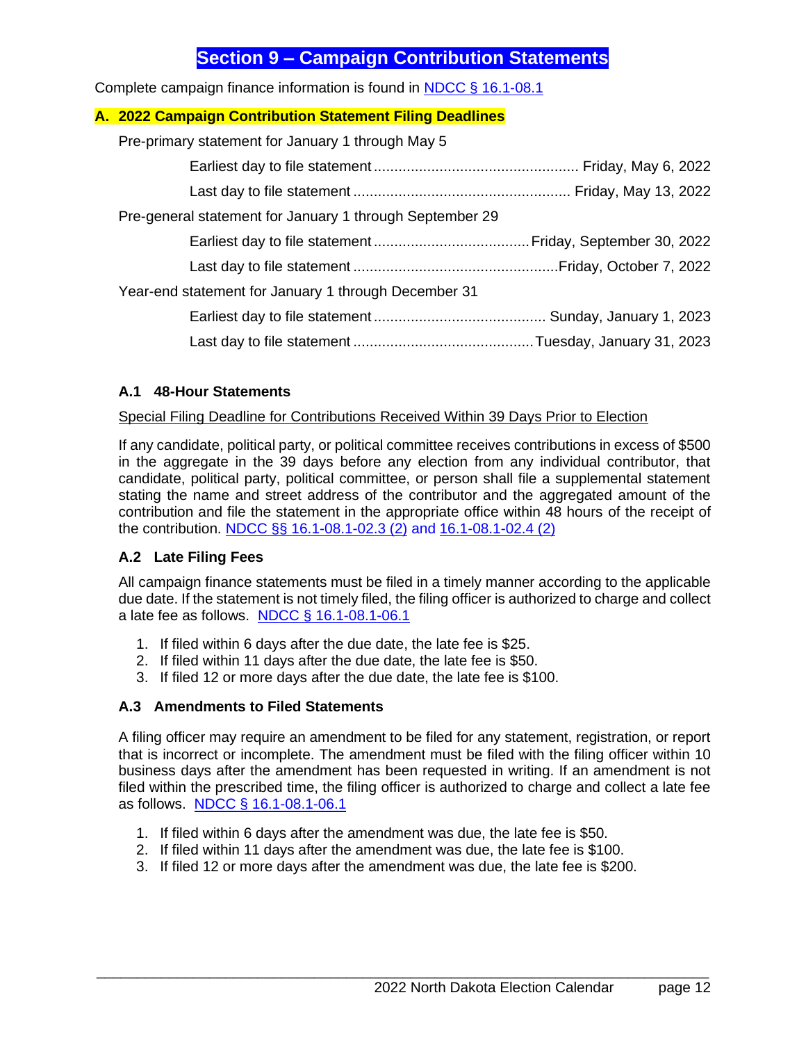## **Section 9 – Campaign Contribution Statements**

<span id="page-11-0"></span>Complete campaign finance information is found in [NDCC § 16.1-08.1](http://www.legis.nd.gov/cencode/t16-1c08-1.pdf)

## <span id="page-11-1"></span>**A. 2022 Campaign Contribution Statement Filing Deadlines**

Pre-primary statement for January 1 through May 5 Earliest day to file statement .................................................. Friday, May 6, 2022 Last day to file statement ..................................................... Friday, May 13, 2022 Pre-general statement for January 1 through September 29

Earliest day to file statement ......................................Friday, September 30, 2022 Last day to file statement ..................................................Friday, October 7, 2022

## Year-end statement for January 1 through December 31 Earliest day to file statement .......................................... Sunday, January 1, 2023 Last day to file statement ............................................Tuesday, January 31, 2023

## <span id="page-11-2"></span>**A.1 48-Hour Statements**

## Special Filing Deadline for Contributions Received Within 39 Days Prior to Election

If any candidate, political party, or political committee receives contributions in excess of \$500 in the aggregate in the 39 days before any election from any individual contributor, that candidate, political party, political committee, or person shall file a supplemental statement stating the name and street address of the contributor and the aggregated amount of the contribution and file the statement in the appropriate office within 48 hours of the receipt of the contribution. [NDCC §§ 16.1-08.1-02.3 \(2\)](http://www.legis.nd.gov/cencode/t16-1c08-1.pdf#nameddest=16p1-08p1-02p3) and [16.1-08.1-02.4 \(2\)](http://www.legis.nd.gov/cencode/t16-1c08-1.pdf#nameddest=16p1-08p1-02p4)

## <span id="page-11-3"></span>**A.2 Late Filing Fees**

All campaign finance statements must be filed in a timely manner according to the applicable due date. If the statement is not timely filed, the filing officer is authorized to charge and collect a late fee as follows. [NDCC § 16.1-08.1-06.1](http://www.legis.nd.gov/cencode/t16-1c08-1.pdf#nameddest=16p1-08p1-06p1)

- 1. If filed within 6 days after the due date, the late fee is \$25.
- 2. If filed within 11 days after the due date, the late fee is \$50.
- 3. If filed 12 or more days after the due date, the late fee is \$100.

## <span id="page-11-4"></span>**A.3 Amendments to Filed Statements**

A filing officer may require an amendment to be filed for any statement, registration, or report that is incorrect or incomplete. The amendment must be filed with the filing officer within 10 business days after the amendment has been requested in writing. If an amendment is not filed within the prescribed time, the filing officer is authorized to charge and collect a late fee as follows. [NDCC § 16.1-08.1-06.1](http://www.legis.nd.gov/cencode/t16-1c08-1.pdf#nameddest=16p1-08p1-06p1)

- 1. If filed within 6 days after the amendment was due, the late fee is \$50.
- 2. If filed within 11 days after the amendment was due, the late fee is \$100.
- 3. If filed 12 or more days after the amendment was due, the late fee is \$200.